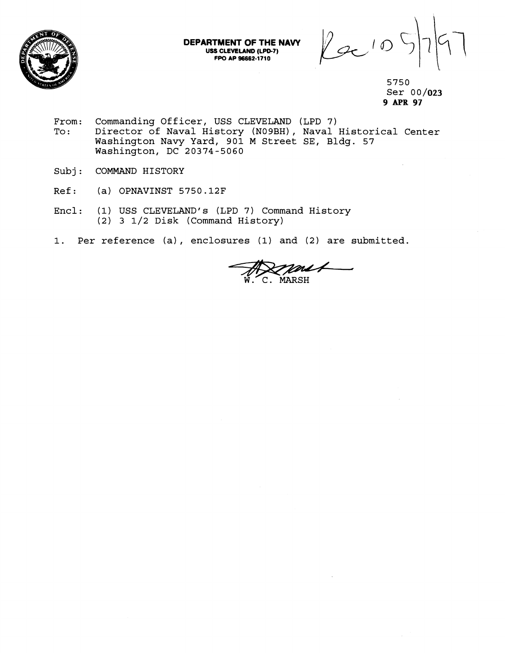

**DEPARTMENT OF THE NAVY USS CLEVELAND (LPD-7) FPO AP 96662-1710** 

 $2010$ 

5750 Ser 0 0 **/023 9 APR 97** 

- From: Commanding Officer, USS CLEVELAND (LPD 7)<br>To: Director of Naval History (N09BH), Naval Director of Naval History (NO9BH), Naval Historical Center Washington Navy Yard, 901 M Street SE, Bldg. 57 Washington, DC 20374-5060
- Subj: COMMAND HISTORY
- Ref: (a) OPNAVINST 5750.12F
- Encl: (1) USS CLEVELAND'S (LPD 7) Command History (2) 3 1/2 Disk (Command History)
- 1. Per reference (a), enclosures (1) and (2) are submitted.

C. MARSH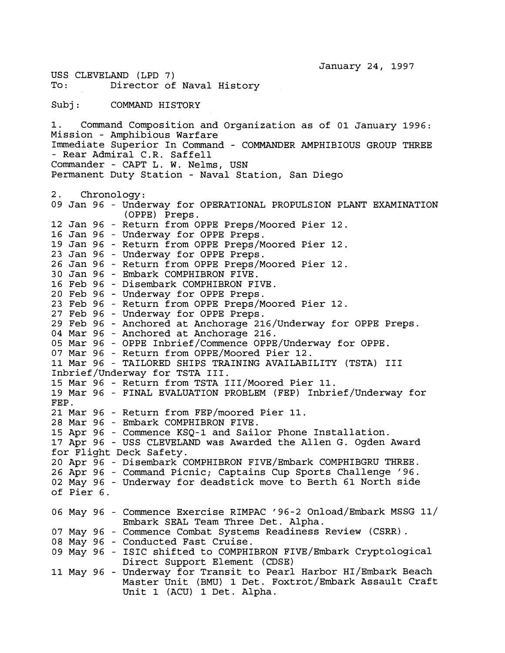USS CLEVELAND (LPD 7)<br>To: Director of Director of Naval History Subj: COMMAND HISTORY 1. Command Composition and Organization as of 01 January 1996: Mission - Amphibious Warfare Immediate Superior In Command - COMMANDER AMPHIBIOUS GROUP THREE - Rear Admiral C.R. Saffell Commander - CAPT L. W. Nelms, USN Permanent Duty Station - Naval Station, San Diego 2. Chronology : 09 Jan 96 - Underway for OPERATIONAL PROPULSION PLANT EXAMINATION (OPPE) Preps. 12 Jan 96 - Return from OPPE Preps/Moored Pier 12. 16 Jan 96 - Underway for OPPE Preps. 19 Jan 96 - Return from OPPE Preps/Moored Pier 12. 23 Jan 96 - Underway for OPPE Preps. 26 Jan 96 - Return from OPPE Preps/Moored Pier 12. 30 Jan 96 - Embark COMPHIBRON FIVE. 16 Feb 96 - Disembark COMPHIBRON FIVE. 20 Feb 96 - Underway for OPPE Preps. 23 Feb 96 - Return from OPPE Preps/Moored Pier 12. 27 Feb 96 - Underway for OPPE Preps. 29 Feb 96 - Anchored at Anchorage 216/Underway for OPPE Preps. 04 Mar 96 - Anchored at Anchorage 216. 05 Mar 96 - OPPE Inbrief/Commence OPPE/Underway for OPPE. 07 Mar 96 - Return from OPPE/Moored Pier 12. 11 Mar 96 - TAILORED SHIPS TRAINING AVAILABILITY (TSTA) I11 Inbrief/Underway for TSTA 111. 15 Mar 96 - Return from TSTA III/Moored Pier 11. 19 Mar 96 - FINAL EVALUATION PROBLEM (FEP) Inbrief/Underway for 21 Mar 96 - Return from FEP/moored Pier 11. 28 Mar 96 - Embark COMPHIBRON FIVE. 15 Apr 96 - Commence KSQ-1 and Sailor Phone Installation. 17 Apr 96 - USS CLEVELAND was Awarded the Allen G. Ogden Award for Flight Deck Safety. 20 Apr 96 - Disembark COMPHIBRON FIVE/Embark COMPHIBGRU THREE. 26 Apr 96 - Command Picnic; Captains Cup Sports Challenge '96. 02 May 96 - Underway for deadstick move to Berth 61 North side of Pier 6. 06 May 96 - Commence Exercise RIMPAC '96-2 Onload/Embark MSSG 11/ Embark SEAL Team Three Det. Alpha. 07 May 96 - Commence Combat Systems Readiness Review (CSRR). 08 May 96 - Conducted Fast Cruise. 09 May 96 - ISIC shifted to COMPHIBRON FIVE/Embark Cryptological Direct Support Element (CDSE) 11 May 96 - Underway for Transit to Pearl Harbor  $HI/Embark$  Beach Master Unit (BMU) 1 Det. Foxtrot/Embark Assault Craft Unit 1 (ACU) 1 Det. Alpha.

January 24, 1997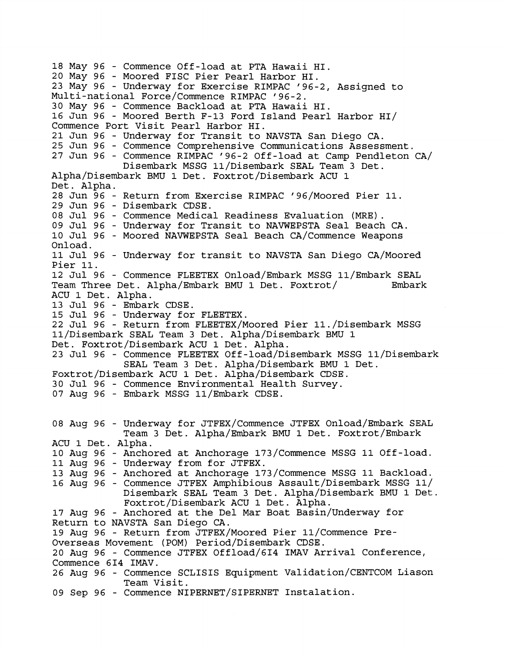18 May 96 - Commence Off-load at PTA Hawaii HI. 20 May 96 - Moored FISC Pier Pearl Harbor HI. 23 May 96 - Underway for Exercise RIMPAC '96-2, Assigned to Multi-national Force/Commence RIMPAC '96-2. 30 May 96 - Commence Backload at PTA Hawaii HI. 16 Jun 96 - Moored Berth F-13 Ford Island Pearl Harbor HI/ Commence Port Visit Pearl Harbor HI. 21 Jun 96 - Underway for Transit to NAVSTA San Diego CA. 25 Jun 96 - Commence Comprehensive Communications Assessment. 27 Jun 96 - Commence RIMPAC '96-2 Off-load at Camp Pendleton CA/ Disembark MSSG 11/Disembark SEAL Team 3 Det. Alpha/Disembark BMU 1 Det. Foxtrot/Disembark ACU 1 Det. Alpha. 28 Jun 96 - Return from Exercise RIMPAC '96/Moored Pier 11. 29 Jun 96 - Disembark CDSE. 08 Jul 96 - Commence Medical Readiness Evaluation (MRE). 09 Jul 96 - Underway for Transit to NAVWEPSTA Seal Beach CA. 10 Jul 96 - Moored NAVWEPSTA Seal Beach CA/Commence Weapons Onload. 11 Jul 96 - Underway for transit to NAVSTA San Diego CA/Moored Pier 11. 12 Jul 96 - Commence FLEETEX Onload/Embark MSSG 11/Embark SEAL Team Three Det. Alpha/Embark BMU 1 Det. Foxtrot/ Embark ACU 1 Det. Alpha. 13 Jul 96 - Embark CDSE. 15 Jul 96 - Underway for FLEETEX. 22 Jul 96 - Return from FLEETEX/Moored Pier 11./Disembark MSSG 11/Disembark SEAL Team 3 Det. Alpha/Disembark BMU 1 Det. Foxtrot/Disembark ACU 1 Det. Alpha. 23 Jul 96 - Commence FLEETEX Off-load/Disembark MSSG 11/Disembark SEAL Team 3 Det. Alpha/Disembark BMU 1 Det. Foxtrot/Disembark ACU 1 Det. Alpha/Disembark CDSE. 30 Jul 96 - Commence Environmental Health Survey. 07 Aug 96 - Embark MSSG 11/Embark CDSE. 08 Aug 96 - Underway for JTFEX/Commence JTFEX Onload/Embark SEAL Team 3 Det. Alpha/Embark BMU 1 Det. Foxtrot/Embark ACU 1 Det. Alpha. 10 Aug 96 - Anchored at Anchorage 173/Commence MSSG 11 Off-load. 11 Aug 96 - Underway from for JTFEX. 13 Aug 96 - Anchored at Anchorage 173/Commence MSSG 11 Backload. 16 Aug 96 - Commence JTFEX Amphibious Assault/Disembark MSSG 11/ Disembark SEAL Team 3 Det. Alpha/Disembark BMU 1 Det. Foxtrot/Disembark ACU 1 Det. Alpha. 17 Aug 96 - Anchored at the Del Mar Boat Basin/Underway for Return to NAVSTA San Diego **CA.**  19 Aug 96 - Return from JTFEX/Moored Pier ll/Commence Pre-Overseas Movement (POM) Period/Disembark CDSE. 20 Aug 96 - Commence JTFEX Offload/GI4 IMAV Arrival Conference, Commence 614 IMAV. 26 Aug 96 - Commence SCLISIS Equipment Validation/CENTCOM Liason Team Visit. 09 Sep 96 - Commence NIPERNET/SIPERNET Instalation.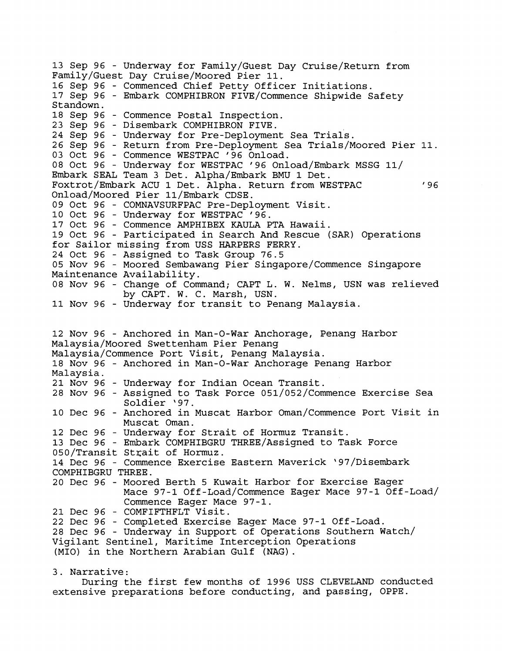13 Sep 96 - Underway for Family/Guest Day Cruise/Return from Family/Guest Day Cruise/Moored Pier 11. 16 Sep 96 - Commenced Chief Petty Officer Initiations. 17 Sep 96 - Embark COMPHIBRON FIVE/Commence Shipwide Safety Standown. 18 Sep 96 - Commence Postal Inspection. 23 Sep 96 - Disembark COMPHIBRON FIVE. 24 Sep 96 - Underway for Pre-Deployment Sea Trials. 26 Sep 96 - Return from Pre-Deployment Sea Trials/Moored Pier 11. 03 Oct 96 - Commence WESTPAC '96 Onload. 08 Oct 96 - Underway for WESTPAC '96 Onload/Embark MSSG 11/ Embark SEAL Team 3 Det. Alpha/Embark BMU 1 Det. Foxtrot/Embark ACU 1 Det. Alpha. Return from WESTPAC  $'96$ Onload/Moored Pier 11/Embark CDSE. 09 Oct 96 - COMNAVSURFPAC Pre-Deployment Visit. 10 Oct 96 - Underway for WESTPAC '96. 17 Oct 96 - Commence AMPHIBEX KAULA PTA Hawaii. 19 Oct 96 - Participated in Search And Rescue (SAR) Operations for Sailor missing from USS HARPERS FERRY. 24 Oct 96 - Assigned to Task Group 76.5 05 Nov 96 - Moored Sembawang Pier Singapore/Commence Singapore Maintenance Availability. 08 Nov 96 - Change of Command; CAPT L. W. Nelms, USN was relieved by CAPT. W. C. Marsh, USN. 11 Nov 96 - Underway for transit to Penang Malaysia. 12 Nov 96 - Anchored in Man-0-War Anchorage, Penang Harbor Malaysia/Moored Swettenham Pier Penang Malaysia/Commence Port Visit, Penang Malaysia. 18 Nov 96 - Anchored in Man-0-War Anchorage Penang Harbor Malaysia. 21 Nov 96 - Underway for Indian Ocean Transit. 28 Nov 96 - Assigned to Task Force 051/052/Commence Exercise Sea Soldier '97. 10 Dec 96 - Anchored in Muscat Harbor Oman/Commence Port Visit in Muscat Oman. 12 Dec 96 - Underway for Strait of Hormuz Transit. 13 Dec 96 - Embark COMPHIBGRU THREE/Assigned to Task Force 050/Transit Strait of Hormuz. 14 Dec 96 - Commence Exercise Eastern Maverick '97/Disembark COMPHIBGRU THREE. 20 Dec 96 - Moored Berth 5 Kuwait Harbor for Exercise Eager Mace 97-1 Off-Load/Commence Eager Mace 97-1 Off-Load/ Commence Eager Mace 97-1. 21 Dec 96 - COMFIFTHFLT Visit. 22 Dec 96 - Completed Exercise Eager Mace 97-1 Off-Load. 28 Dec 96 - Underway in Support of Operations Southern watch/ Vigilant Sentinel, Maritime Interception Operations (MIO) in the Northern Arabian Gulf (NAG) . 3. Narrative:

During the first few months of 1996 USS CLEVELAND conducted extensive preparations before conducting, and passing, OPPE.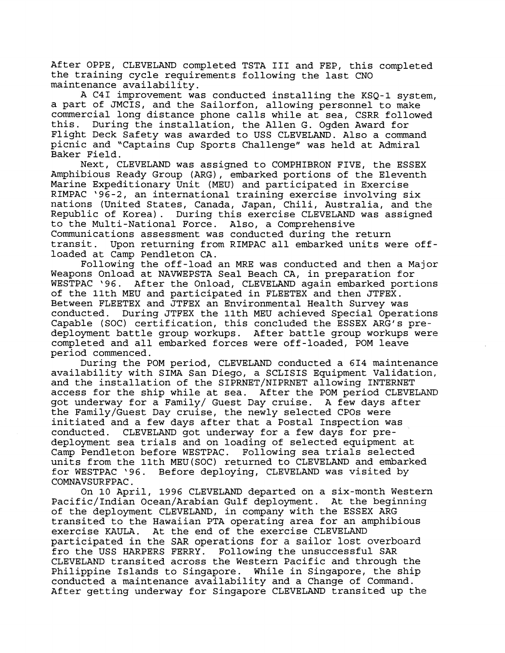After OPPE, CLEVELAND completed TSTA I11 and FEP, this completed the training cycle requirements following the last CNO maintenance availability.

A C41 improvement was conducted installing the KSQ-1 system, a part of JMCIS, and the Sailorfon, allowing personnel to make commercial long distance phone calls while at sea, CSRR followed this. During the installation, the Allen G. Ogden Award for Flight Deck Safety was awarded to USS CLEVELAND. Also a command picnic and "Captains Cup Sports Challenge" was held at Admiral Baker Field.

Next, CLEVELAND was assigned to COMPHIBRON FIVE, the ESSEX Amphibious Ready Group (ARG), embarked portions of the Eleventh Marine Expeditionary Unit (MEU) and participated in Exercise RIMPAC '96-2, an international training exercise involving six nations (United States, Canada, Japan, Chili, Australia, and the Republic of Korea). During this exercise CLEVELAND was assigned to the Multi-National Force. Also, a Comprehensive Communications assessment was conducted during the return transit. Upon returning from RIMPAC all embarked units were offloaded at Camp Pendleton CA.

Following the off-load an MRE was conducted and then a Major Weapons Onload at NAVWEPSTA Seal Beach CA, in preparation for WESTPAC '96. After the Onload, CLEVELAND again embarked portions of the llth MEU and participated in FLEETEX and then JTFEX. Between FLEETEX and JTFEX an Environmental Health Survey was conducted. During JTFEX the llth MEU achieved Special Operations Capable (SOC) certification, this concluded the ESSEX ARG's predeployment battle group workups. After battle group workups were completed and all embarked forces were off-loaded, POM leave period commenced.

During the POM period, CLEVELAND conducted a 614 maintenance availability with SIMA San Diego, a SCLISIS Equipment Validation, and the installation of the SIPRNET/NIPRNET allowing INTERNET access for the ship while at sea. After the POM period CLEVELAND got underway for a Family/ Guest Day cruise. A few days after the Family/Guest Day cruise, the newly selected CPOs were initiated and a few days after that a Postal Inspection was conducted. CLEVELAND got underway for a few days for predeployment sea trials and on loading of selected equipment at Camp Pendleton before WESTPAC. Following sea trials selected units from the llth MEU(S0C) returned to CLEVELAND and embarked for WESTPAC '96. Before deploying, CLEVELAND was visited by COMNAVSURFPAC.

On 10 April, 1996 CLEVELAND departed on a six-month Western Pacific/Indian Ocean/Arabian Gulf deployment. At the beginning of the deployment CLEVELAND, in company with the ESSEX ARG transited to the Hawaiian PTA operating area for an amphibious exercise KAULA. At the end of the exercise CLEVELAND participated in the SAR operations for a sailor lost overboard<br>fro the USS HARPERS FERRY. Following the unsuccessful SAR Following the unsuccessful SAR CLEVELAND transited across the Western Pacific and through the Philippine Islands to Singapore. While in Singapore, the ship conducted a maintenance availability and a Change of Command. After getting underway for Singapore CLEVELAND transited up the